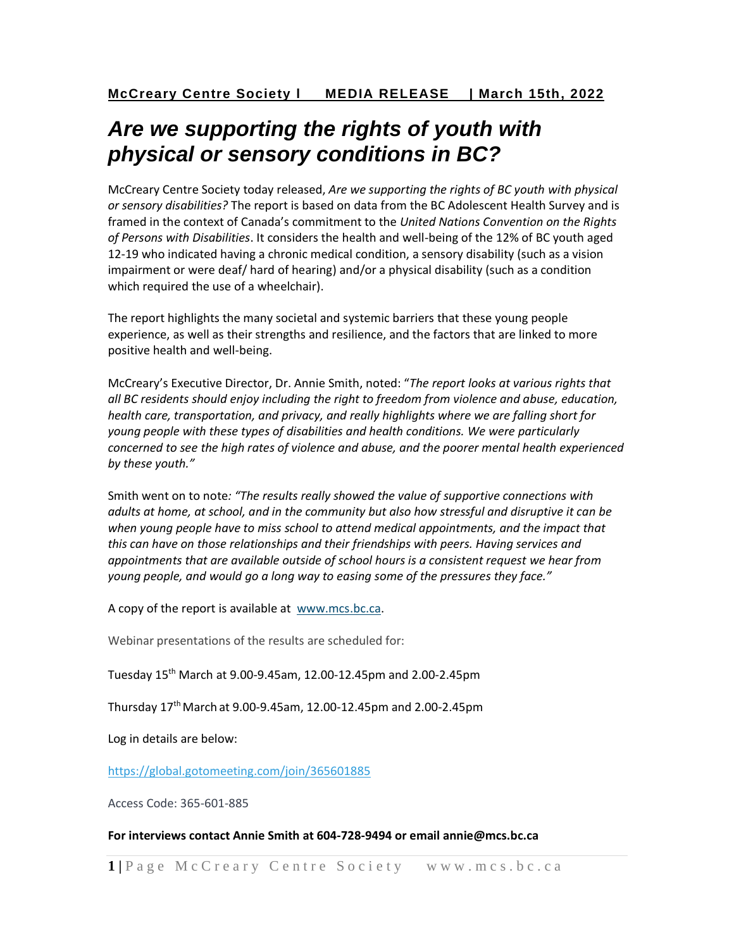## *Are we supporting the rights of youth with physical or sensory conditions in BC?*

McCreary Centre Society today released, *Are we supporting the rights of BC youth with physical or sensory disabilities?* The report is based on data from the BC Adolescent Health Survey and is framed in the context of Canada's commitment to the *United Nations Convention on the Rights of Persons with Disabilities*. It considers the health and well-being of the 12% of BC youth aged 12-19 who indicated having a chronic medical condition, a sensory disability (such as a vision impairment or were deaf/ hard of hearing) and/or a physical disability (such as a condition which required the use of a wheelchair).

The report highlights the many societal and systemic barriers that these young people experience, as well as their strengths and resilience, and the factors that are linked to more positive health and well-being.

McCreary's Executive Director, Dr. Annie Smith, noted: "*The report looks at various rights that all BC residents should enjoy including the right to freedom from violence and abuse, education, health care, transportation, and privacy, and really highlights where we are falling short for young people with these types of disabilities and health conditions. We were particularly concerned to see the high rates of violence and abuse, and the poorer mental health experienced by these youth."*

Smith went on to note*: "The results really showed the value of supportive connections with adults at home, at school, and in the community but also how stressful and disruptive it can be when young people have to miss school to attend medical appointments, and the impact that this can have on those relationships and their friendships with peers. Having services and appointments that are available outside of school hours is a consistent request we hear from young people, and would go a long way to easing some of the pressures they face."*

A copy of the report is available at [www.mcs.bc.ca.](http://www.mcs.bc.ca/)

Webinar presentations of the results are scheduled for:

Tuesday 15th March at 9.00-9.45am, 12.00-12.45pm and 2.00-2.45pm

Thursday  $17^{th}$  March at 9.00-9.45am, 12.00-12.45pm and 2.00-2.45pm

Log in details are below:

<https://global.gotomeeting.com/join/365601885>

Access Code: 365-601-885

## **For interviews contact Annie Smith at 604-728-9494 or email annie@mcs.bc.ca**